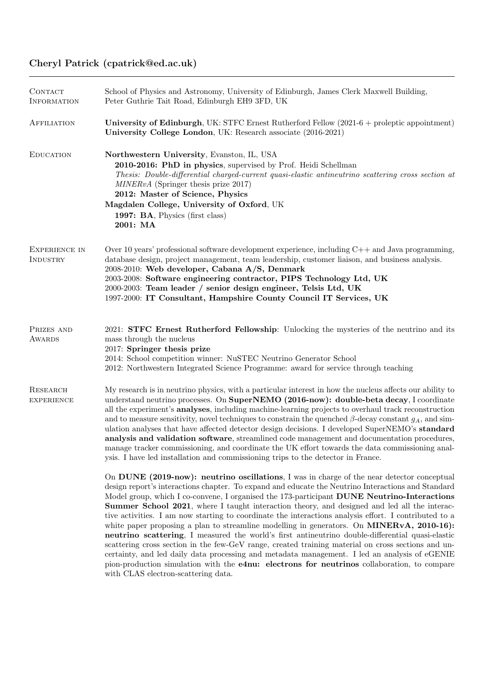## Cheryl Patrick (cpatrick@ed.ac.uk)

| CONTACT<br><b>INFORMATION</b>    | School of Physics and Astronomy, University of Edinburgh, James Clerk Maxwell Building,<br>Peter Guthrie Tait Road, Edinburgh EH9 3FD, UK                                                                                                                                                                                                                                                                                                                                                                                                                                                                                                                                                                                                                                                                                                                                                                                                                                                                                                                      |
|----------------------------------|----------------------------------------------------------------------------------------------------------------------------------------------------------------------------------------------------------------------------------------------------------------------------------------------------------------------------------------------------------------------------------------------------------------------------------------------------------------------------------------------------------------------------------------------------------------------------------------------------------------------------------------------------------------------------------------------------------------------------------------------------------------------------------------------------------------------------------------------------------------------------------------------------------------------------------------------------------------------------------------------------------------------------------------------------------------|
| AFFILIATION                      | University of Edinburgh, UK: STFC Ernest Rutherford Fellow (2021-6 + proleptic appointment)<br>University College London, UK: Research associate (2016-2021)                                                                                                                                                                                                                                                                                                                                                                                                                                                                                                                                                                                                                                                                                                                                                                                                                                                                                                   |
| <b>EDUCATION</b>                 | Northwestern University, Evanston, IL, USA<br>2010-2016: PhD in physics, supervised by Prof. Heidi Schellman<br>Thesis: Double-differential charged-current quasi-elastic antineutrino scattering cross section at<br>MINERvA (Springer thesis prize 2017)<br>2012: Master of Science, Physics<br>Magdalen College, University of Oxford, UK<br>1997: BA, Physics (first class)<br>2001: MA                                                                                                                                                                                                                                                                                                                                                                                                                                                                                                                                                                                                                                                                    |
| <b>EXPERIENCE IN</b><br>INDUSTRY | Over 10 years' professional software development experience, including $C++$ and Java programming,<br>database design, project management, team leadership, customer liaison, and business analysis.<br>2008-2010: Web developer, Cabana A/S, Denmark<br>2003-2008: Software engineering contractor, PIPS Technology Ltd, UK<br>2000-2003: Team leader / senior design engineer, Telsis Ltd, UK<br>1997-2000: IT Consultant, Hampshire County Council IT Services, UK                                                                                                                                                                                                                                                                                                                                                                                                                                                                                                                                                                                          |
| PRIZES AND<br>AWARDS             | 2021: <b>STFC Ernest Rutherford Fellowship</b> : Unlocking the mysteries of the neutrino and its<br>mass through the nucleus<br>2017: Springer thesis prize<br>2014: School competition winner: NuSTEC Neutrino Generator School<br>2012: Northwestern Integrated Science Programme: award for service through teaching                                                                                                                                                                                                                                                                                                                                                                                                                                                                                                                                                                                                                                                                                                                                        |
| RESEARCH<br><b>EXPERIENCE</b>    | My research is in neutrino physics, with a particular interest in how the nucleus affects our ability to<br>understand neutrino processes. On SuperNEMO (2016-now): double-beta decay, I coordinate<br>all the experiment's <b>analyses</b> , including machine-learning projects to overhaul track reconstruction<br>and to measure sensitivity, novel techniques to constrain the quenched $\beta$ -decay constant $g_A$ , and sim-<br>ulation analyses that have affected detector design decisions. I developed SuperNEMO's standard<br>analysis and validation software, streamlined code management and documentation procedures,<br>manage tracker commissioning, and coordinate the UK effort towards the data commissioning anal-<br>ysis. I have led installation and commissioning trips to the detector in France.                                                                                                                                                                                                                                 |
|                                  | On DUNE (2019-now): neutrino oscillations, I was in charge of the near detector conceptual<br>design report's interactions chapter. To expand and educate the Neutrino Interactions and Standard<br>Model group, which I co-convene, I organised the 173-participant DUNE Neutrino-Interactions<br><b>Summer School 2021</b> , where I taught interaction theory, and designed and led all the interac-<br>tive activities. I am now starting to coordinate the interactions analysis effort. I contributed to a<br>white paper proposing a plan to streamline modelling in generators. On MINERvA, 2010-16):<br>neutrino scattering, I measured the world's first antineutrino double-differential quasi-elastic<br>scattering cross section in the few-GeV range, created training material on cross sections and un-<br>certainty, and led daily data processing and metadata management. I led an analysis of eGENIE<br>pion-production simulation with the e4nu: electrons for neutrinos collaboration, to compare<br>with CLAS electron-scattering data. |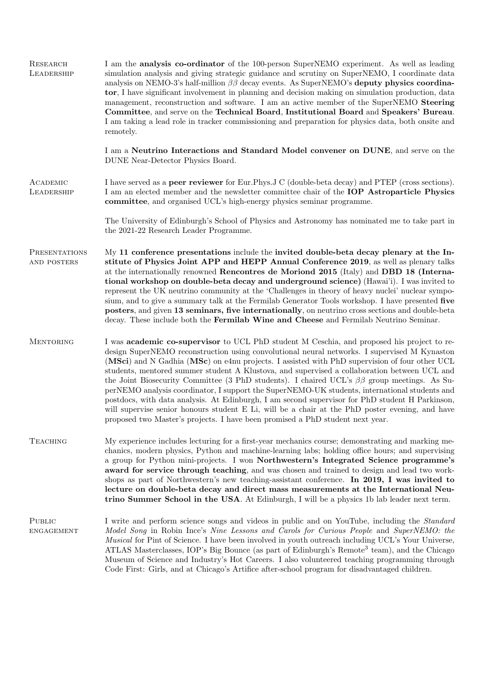| RESEARCH<br>LEADERSHIP       | I am the <b>analysis co-ordinator</b> of the 100-person SuperNEMO experiment. As well as leading<br>simulation analysis and giving strategic guidance and scrutiny on SuperNEMO, I coordinate data<br>analysis on NEMO-3's half-million $\beta\beta$ decay events. As SuperNEMO's deputy physics coordina-<br>tor, I have significant involvement in planning and decision making on simulation production, data<br>management, reconstruction and software. I am an active member of the SuperNEMO Steering<br>Committee, and serve on the Technical Board, Institutional Board and Speakers' Bureau.<br>I am taking a lead role in tracker commissioning and preparation for physics data, both onsite and<br>remotely.                                                                                                                                                                    |
|------------------------------|----------------------------------------------------------------------------------------------------------------------------------------------------------------------------------------------------------------------------------------------------------------------------------------------------------------------------------------------------------------------------------------------------------------------------------------------------------------------------------------------------------------------------------------------------------------------------------------------------------------------------------------------------------------------------------------------------------------------------------------------------------------------------------------------------------------------------------------------------------------------------------------------|
|                              | I am a Neutrino Interactions and Standard Model convener on DUNE, and serve on the<br>DUNE Near-Detector Physics Board.                                                                                                                                                                                                                                                                                                                                                                                                                                                                                                                                                                                                                                                                                                                                                                      |
| ACADEMIC<br>LEADERSHIP       | I have served as a <b>peer reviewer</b> for Eur.Phys.J C (double-beta decay) and PTEP (cross sections).<br>I am an elected member and the newsletter committee chair of the <b>IOP Astroparticle Physics</b><br>committee, and organised UCL's high-energy physics seminar programme.                                                                                                                                                                                                                                                                                                                                                                                                                                                                                                                                                                                                        |
|                              | The University of Edinburgh's School of Physics and Astronomy has nominated me to take part in<br>the 2021-22 Research Leader Programme.                                                                                                                                                                                                                                                                                                                                                                                                                                                                                                                                                                                                                                                                                                                                                     |
| PRESENTATIONS<br>AND POSTERS | My 11 conference presentations include the invited double-beta decay plenary at the In-<br>stitute of Physics Joint APP and HEPP Annual Conference 2019, as well as plenary talks<br>at the internationally renowned Rencontres de Moriond 2015 (Italy) and DBD 18 (Interna-<br>tional workshop on double-beta decay and underground science) (Hawai'i). I was invited to<br>represent the UK neutrino community at the 'Challenges in theory of heavy nuclei' nuclear sympo-<br>sium, and to give a summary talk at the Fermilab Generator Tools workshop. I have presented five<br>posters, and given 13 seminars, five internationally, on neutrino cross sections and double-beta<br>decay. These include both the Fermilab Wine and Cheese and Fermilab Neutrino Seminar.                                                                                                               |
| <b>MENTORING</b>             | I was academic co-supervisor to UCL PhD student M Ceschia, and proposed his project to re-<br>design SuperNEMO reconstruction using convolutional neural networks. I supervised M Kynaston<br>(MSci) and N Gadhia (MSc) on e4nu projects. I assisted with PhD supervision of four other UCL<br>students, mentored summer student A Klustova, and supervised a collaboration between UCL and<br>the Joint Biosecurity Committee (3 PhD students). I chaired UCL's $\beta\beta$ group meetings. As Su-<br>perNEMO analysis coordinator, I support the SuperNEMO-UK students, international students and<br>postdocs, with data analysis. At Edinburgh, I am second supervisor for PhD student H Parkinson,<br>will supervise senior honours student E Li, will be a chair at the PhD poster evening, and have<br>proposed two Master's projects. I have been promised a PhD student next year. |
| <b>TEACHING</b>              | My experience includes lecturing for a first-year mechanics course; demonstrating and marking me-<br>chanics, modern physics, Python and machine-learning labs; holding office hours; and supervising<br>a group for Python mini-projects. I won Northwestern's Integrated Science programme's<br>award for service through teaching, and was chosen and trained to design and lead two work-<br>shops as part of Northwestern's new teaching-assistant conference. In 2019, I was invited to<br>lecture on double-beta decay and direct mass measurements at the International Neu-<br>trino Summer School in the USA. At Edinburgh, I will be a physics 1b lab leader next term.                                                                                                                                                                                                           |
| PUBLIC<br><b>ENGAGEMENT</b>  | I write and perform science songs and videos in public and on YouTube, including the <i>Standard</i><br>Model Song in Robin Ince's Nine Lessons and Carols for Curious People and SuperNEMO: the<br><i>Musical</i> for Pint of Science. I have been involved in youth outreach including UCL's Your Universe,<br>ATLAS Masterclasses, IOP's Big Bounce (as part of Edinburgh's Remote <sup>3</sup> team), and the Chicago<br>Museum of Science and Industry's Hot Careers. I also volunteered teaching programming through<br>Code First: Girls, and at Chicago's Artifice after-school program for disadvantaged children.                                                                                                                                                                                                                                                                  |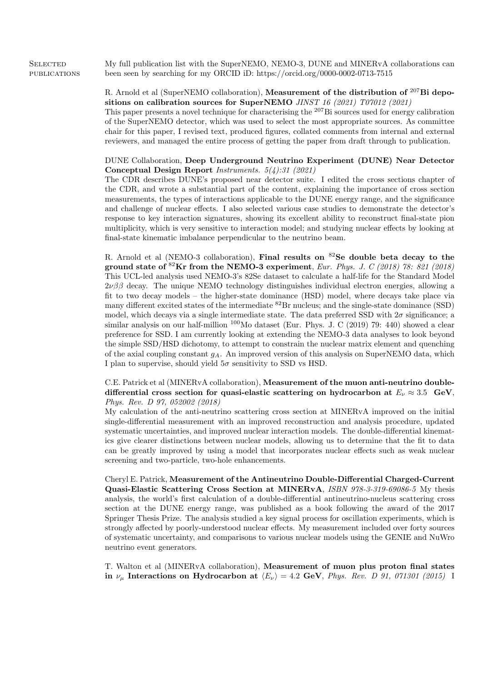**SELECTED PUBLICATIONS** My full publication list with the SuperNEMO, NEMO-3, DUNE and MINERvA collaborations can been seen by searching for my ORCID iD: https://orcid.org/0000-0002-0713-7515

> R. Arnold et al (SuperNEMO collaboration), Measurement of the distribution of <sup>207</sup>Bi depositions on calibration sources for SuperNEMO JINST 16 (2021) T07012 (2021)

> This paper presents a novel technique for characterising the  $207B$ i sources used for energy calibration of the SuperNEMO detector, which was used to select the most appropriate sources. As committee chair for this paper, I revised text, produced figures, collated comments from internal and external reviewers, and managed the entire process of getting the paper from draft through to publication.

> DUNE Collaboration, Deep Underground Neutrino Experiment (DUNE) Near Detector Conceptual Design Report Instruments. 5(4):31 (2021)

> The CDR describes DUNE's proposed near detector suite. I edited the cross sections chapter of the CDR, and wrote a substantial part of the content, explaining the importance of cross section measurements, the types of interactions applicable to the DUNE energy range, and the significance and challenge of nuclear effects. I also selected various case studies to demonstrate the detector's response to key interaction signatures, showing its excellent ability to reconstruct final-state pion multiplicity, which is very sensitive to interaction model; and studying nuclear effects by looking at final-state kinematic imbalance perpendicular to the neutrino beam.

> R. Arnold et al (NEMO-3 collaboration), Final results on  ${}^{82}$ Se double beta decay to the ground state of  ${}^{82}\text{Kr}$  from the NEMO-3 experiment, Eur. Phys. J. C (2018) 78: 821 (2018) This UCL-led analysis used NEMO-3's 82Se dataset to calculate a half-life for the Standard Model  $2\nu\beta\beta$  decay. The unique NEMO technology distinguishes individual electron energies, allowing a fit to two decay models – the higher-state dominance (HSD) model, where decays take place via many different excited states of the intermediate <sup>82</sup>Br nucleus; and the single-state dominance (SSD) model, which decays via a single intermediate state. The data preferred SSD with  $2\sigma$  significance; a similar analysis on our half-million  $100$ Mo dataset (Eur. Phys. J. C (2019) 79: 440) showed a clear preference for SSD. I am currently looking at extending the NEMO-3 data analyses to look beyond the simple SSD/HSD dichotomy, to attempt to constrain the nuclear matrix element and quenching of the axial coupling constant  $q_A$ . An improved version of this analysis on SuperNEMO data, which I plan to supervise, should yield  $5\sigma$  sensitivity to SSD vs HSD.

> C.E. Patrick et al (MINERvA collaboration), Measurement of the muon anti-neutrino doubledifferential cross section for quasi-elastic scattering on hydrocarbon at  $E_{\nu} \approx 3.5$  GeV, Phys. Rev. D 97, 052002 (2018)

> My calculation of the anti-neutrino scattering cross section at MINERvA improved on the initial single-differential measurement with an improved reconstruction and analysis procedure, updated systematic uncertainties, and improved nuclear interaction models. The double-differential kinematics give clearer distinctions between nuclear models, allowing us to determine that the fit to data can be greatly improved by using a model that incorporates nuclear effects such as weak nuclear screening and two-particle, two-hole enhancements.

> Cheryl E. Patrick, Measurement of the Antineutrino Double-Differential Charged-Current Quasi-Elastic Scattering Cross Section at MINERvA, ISBN 978-3-319-69086-5 My thesis analysis, the world's first calculation of a double-differential antineutrino-nucleus scattering cross section at the DUNE energy range, was published as a book following the award of the 2017 Springer Thesis Prize. The analysis studied a key signal process for oscillation experiments, which is strongly affected by poorly-understood nuclear effects. My measurement included over forty sources of systematic uncertainty, and comparisons to various nuclear models using the GENIE and NuWro neutrino event generators.

> T. Walton et al (MINERvA collaboration), Measurement of muon plus proton final states in  $\nu_{\mu}$  Interactions on Hydrocarbon at  $\langle E_{\nu} \rangle = 4.2 \text{ GeV}$ , *Phys. Rev. D 91, 071301 (2015)* I